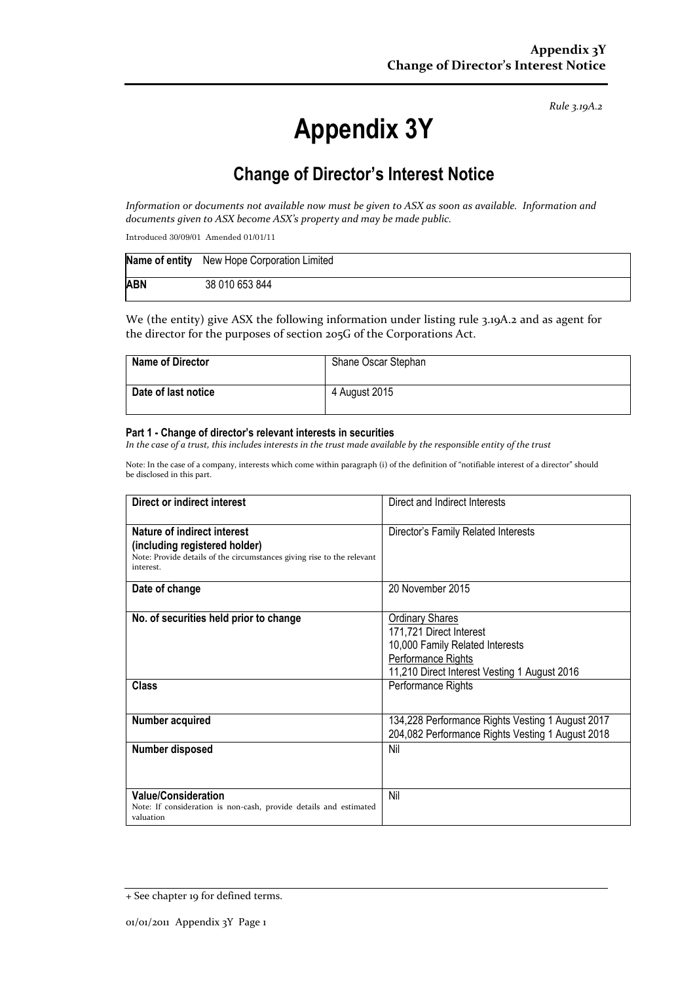*Rule 3.19A.2*

# **Appendix 3Y**

# **Change of Director's Interest Notice**

*Information or documents not available now must be given to ASX as soon as available. Information and documents given to ASX become ASX's property and may be made public.*

Introduced 30/09/01 Amended 01/01/11

|            | Name of entity New Hope Corporation Limited |
|------------|---------------------------------------------|
| <b>ABN</b> | 38 010 653 844                              |

We (the entity) give ASX the following information under listing rule 3.19A.2 and as agent for the director for the purposes of section 205G of the Corporations Act.

| <b>Name of Director</b> | Shane Oscar Stephan |
|-------------------------|---------------------|
| Date of last notice     | 4 August 2015       |

#### **Part 1 - Change of director's relevant interests in securities**

*In the case of a trust, this includes interests in the trust made available by the responsible entity of the trust*

Note: In the case of a company, interests which come within paragraph (i) of the definition of "notifiable interest of a director" should be disclosed in this part.

| Direct or indirect interest                                                                                                                         | Direct and Indirect Interests                                                                                                                                                    |  |
|-----------------------------------------------------------------------------------------------------------------------------------------------------|----------------------------------------------------------------------------------------------------------------------------------------------------------------------------------|--|
| Nature of indirect interest<br>(including registered holder)<br>Note: Provide details of the circumstances giving rise to the relevant<br>interest. | Director's Family Related Interests                                                                                                                                              |  |
| Date of change                                                                                                                                      | 20 November 2015                                                                                                                                                                 |  |
| No. of securities held prior to change<br><b>Class</b>                                                                                              | <b>Ordinary Shares</b><br>171,721 Direct Interest<br>10,000 Family Related Interests<br>Performance Rights<br>11,210 Direct Interest Vesting 1 August 2016<br>Performance Rights |  |
|                                                                                                                                                     |                                                                                                                                                                                  |  |
| Number acquired                                                                                                                                     | 134,228 Performance Rights Vesting 1 August 2017<br>204,082 Performance Rights Vesting 1 August 2018                                                                             |  |
| Number disposed                                                                                                                                     | Nil                                                                                                                                                                              |  |
| <b>Value/Consideration</b><br>Note: If consideration is non-cash, provide details and estimated<br>valuation                                        | Nil                                                                                                                                                                              |  |

<sup>+</sup> See chapter 19 for defined terms.